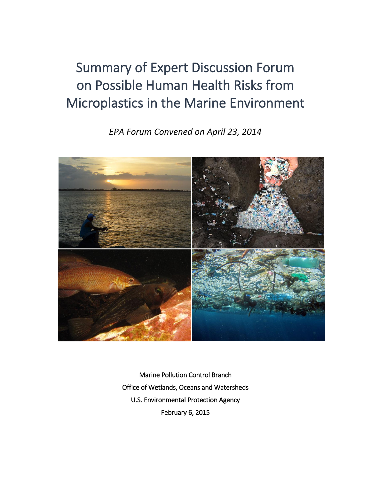# Summary of Expert Discussion Forum on Possible Human Health Risks from Microplastics in the Marine Environment

*EPA Forum Convened on April 23, 2014* 



Marine Pollution Control Branch Office of Wetlands, Oceans and Watersheds U.S. Environmental Protection Agency February 6, 2015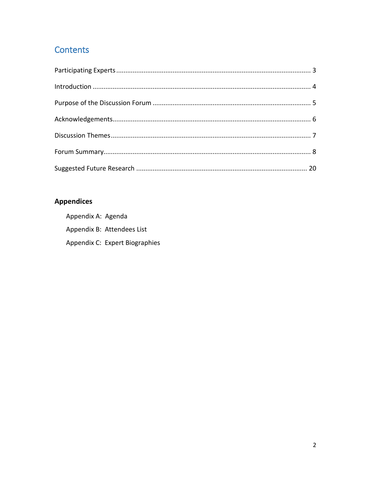# **Contents**

# **Appendices**

Appendix A: Agenda Appendix B: Attendees List Appendix C: Expert Biographies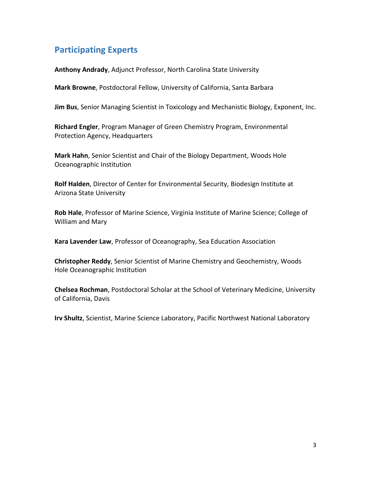# <span id="page-2-0"></span>**Participating Experts**

**Anthony Andrady**, Adjunct Professor, North Carolina State University

**Mark Browne**, Postdoctoral Fellow, University of California, Santa Barbara

**Jim Bus**, Senior Managing Scientist in Toxicology and Mechanistic Biology, Exponent, Inc.

**Richard Engler**, Program Manager of Green Chemistry Program, Environmental Protection Agency, Headquarters

**Mark Hahn**, Senior Scientist and Chair of the Biology Department, Woods Hole Oceanographic Institution

**Rolf Halden**, Director of Center for Environmental Security, Biodesign Institute at Arizona State University

**Rob Hale**, Professor of Marine Science, Virginia Institute of Marine Science; College of William and Mary

**Kara Lavender Law**, Professor of Oceanography, Sea Education Association

**Christopher Reddy**, Senior Scientist of Marine Chemistry and Geochemistry, Woods Hole Oceanographic Institution

**Chelsea Rochman**, Postdoctoral Scholar at the School of Veterinary Medicine, University of California, Davis

**Irv Shultz**, Scientist, Marine Science Laboratory, Pacific Northwest National Laboratory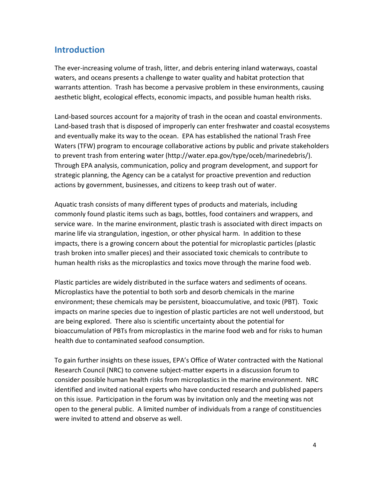### <span id="page-3-0"></span>**Introduction**

The ever-increasing volume of trash, litter, and debris entering inland waterways, coastal waters, and oceans presents a challenge to water quality and habitat protection that warrants attention. Trash has become a pervasive problem in these environments, causing aesthetic blight, ecological effects, economic impacts, and possible human health risks.

Land-based sources account for a majority of trash in the ocean and coastal environments. Land-based trash that is disposed of improperly can enter freshwater and coastal ecosystems and eventually make its way to the ocean. EPA has established the national Trash Free Waters (TFW) program to encourage collaborative actions by public and private stakeholders to prevent trash from entering water (http://water.epa.gov/type/oceb/marinedebris/). Through EPA analysis, communication, policy and program development, and support for strategic planning, the Agency can be a catalyst for proactive prevention and reduction actions by government, businesses, and citizens to keep trash out of water.

Aquatic trash consists of many different types of products and materials, including commonly found plastic items such as bags, bottles, food containers and wrappers, and service ware. In the marine environment, plastic trash is associated with direct impacts on marine life via strangulation, ingestion, or other physical harm. In addition to these impacts, there is a growing concern about the potential for microplastic particles (plastic trash broken into smaller pieces) and their associated toxic chemicals to contribute to human health risks as the microplastics and toxics move through the marine food web.

Plastic particles are widely distributed in the surface waters and sediments of oceans. Microplastics have the potential to both sorb and desorb chemicals in the marine environment; these chemicals may be persistent, bioaccumulative, and toxic (PBT). Toxic impacts on marine species due to ingestion of plastic particles are not well understood, but are being explored. There also is scientific uncertainty about the potential for bioaccumulation of PBTs from microplastics in the marine food web and for risks to human health due to contaminated seafood consumption.

To gain further insights on these issues, EPA's Office of Water contracted with the National Research Council (NRC) to convene subject-matter experts in a discussion forum to consider possible human health risks from microplastics in the marine environment. NRC identified and invited national experts who have conducted research and published papers on this issue. Participation in the forum was by invitation only and the meeting was not open to the general public. A limited number of individuals from a range of constituencies were invited to attend and observe as well.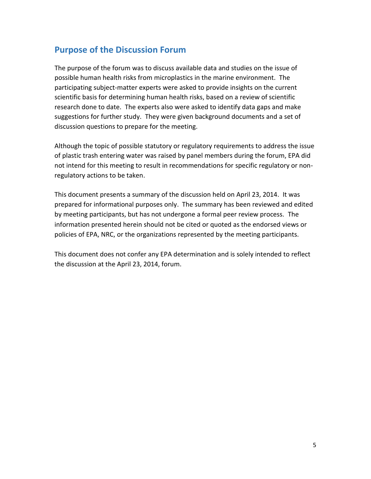### <span id="page-4-0"></span>**Purpose of the Discussion Forum**

The purpose of the forum was to discuss available data and studies on the issue of possible human health risks from microplastics in the marine environment. The participating subject-matter experts were asked to provide insights on the current scientific basis for determining human health risks, based on a review of scientific research done to date. The experts also were asked to identify data gaps and make suggestions for further study. They were given background documents and a set of discussion questions to prepare for the meeting.

Although the topic of possible statutory or regulatory requirements to address the issue of plastic trash entering water was raised by panel members during the forum, EPA did not intend for this meeting to result in recommendations for specific regulatory or nonregulatory actions to be taken.

This document presents a summary of the discussion held on April 23, 2014. It was prepared for informational purposes only. The summary has been reviewed and edited by meeting participants, but has not undergone a formal peer review process. The information presented herein should not be cited or quoted as the endorsed views or policies of EPA, NRC, or the organizations represented by the meeting participants.

This document does not confer any EPA determination and is solely intended to reflect the discussion at the April 23, 2014, forum.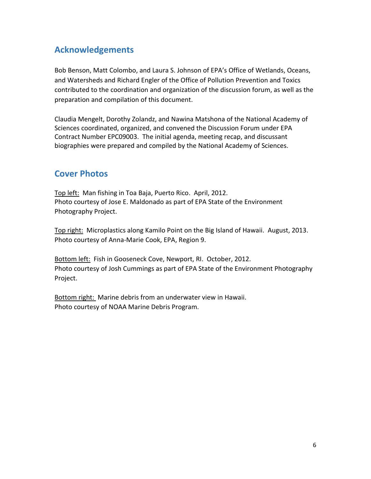# <span id="page-5-0"></span>**Acknowledgements**

Bob Benson, Matt Colombo, and Laura S. Johnson of EPA's Office of Wetlands, Oceans, and Watersheds and Richard Engler of the Office of Pollution Prevention and Toxics contributed to the coordination and organization of the discussion forum, as well as the preparation and compilation of this document.

Claudia Mengelt, Dorothy Zolandz, and Nawina Matshona of the National Academy of Sciences coordinated, organized, and convened the Discussion Forum under EPA Contract Number EPC09003. The initial agenda, meeting recap, and discussant biographies were prepared and compiled by the National Academy of Sciences.

# **Cover Photos**

Top left: Man fishing in Toa Baja, Puerto Rico. April, 2012. Photo courtesy of Jose E. Maldonado as part of EPA State of the Environment Photography Project.

Top right: Microplastics along Kamilo Point on the Big Island of Hawaii. August, 2013. Photo courtesy of Anna-Marie Cook, EPA, Region 9.

Bottom left: Fish in Gooseneck Cove, Newport, RI. October, 2012. Photo courtesy of Josh Cummings as part of EPA State of the Environment Photography Project.

Bottom right: Marine debris from an underwater view in Hawaii. Photo courtesy of NOAA Marine Debris Program.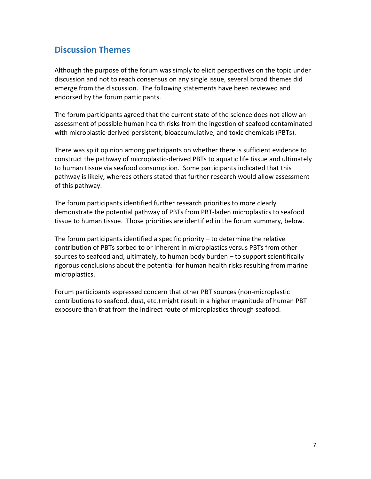### <span id="page-6-0"></span>**Discussion Themes**

Although the purpose of the forum was simply to elicit perspectives on the topic under discussion and not to reach consensus on any single issue, several broad themes did emerge from the discussion. The following statements have been reviewed and endorsed by the forum participants.

The forum participants agreed that the current state of the science does not allow an assessment of possible human health risks from the ingestion of seafood contaminated with microplastic-derived persistent, bioaccumulative, and toxic chemicals (PBTs).

There was split opinion among participants on whether there is sufficient evidence to construct the pathway of microplastic-derived PBTs to aquatic life tissue and ultimately to human tissue via seafood consumption. Some participants indicated that this pathway is likely, whereas others stated that further research would allow assessment of this pathway.

The forum participants identified further research priorities to more clearly demonstrate the potential pathway of PBTs from PBT-laden microplastics to seafood tissue to human tissue. Those priorities are identified in the forum summary, below.

The forum participants identified a specific priority – to determine the relative contribution of PBTs sorbed to or inherent in microplastics versus PBTs from other sources to seafood and, ultimately, to human body burden – to support scientifically rigorous conclusions about the potential for human health risks resulting from marine microplastics.

Forum participants expressed concern that other PBT sources (non-microplastic contributions to seafood, dust, etc.) might result in a higher magnitude of human PBT exposure than that from the indirect route of microplastics through seafood.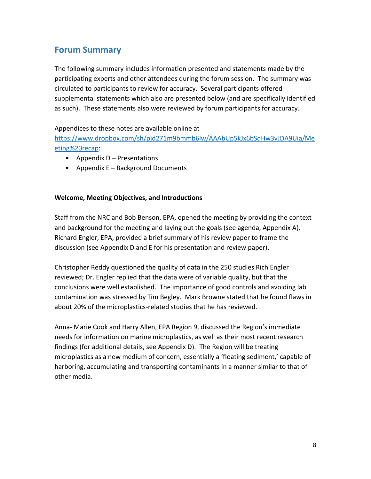# <span id="page-7-0"></span>**Forum Summary**

The following summary includes information presented and statements made by the participating experts and other attendees during the forum session. The summary was circulated to participants to review for accuracy. Several participants offered supplemental statements which also are presented below (and are specifically identified as such). These statements also were reviewed by forum participants for accuracy.

Appendices to these notes are available online at

[https://www.dropbox.com/sh/pjd271m9bmmb6lw/AAAbUp5kJx6bSdHw3vJDA9Uia/Me](https://www.dropbox.com/sh/pjd271m9bmmb6lw/AAAbUp5kJx6bSdHw3vJDA9Uia/Meeting%20recap) [eting%20recap:](https://www.dropbox.com/sh/pjd271m9bmmb6lw/AAAbUp5kJx6bSdHw3vJDA9Uia/Meeting%20recap)

- Appendix D Presentations
- Appendix E Background Documents

### **Welcome, Meeting Objectives, and Introductions**

Staff from the NRC and Bob Benson, EPA, opened the meeting by providing the context and background for the meeting and laying out the goals (see agenda, Appendix A). Richard Engler, EPA, provided a brief summary of his review paper to frame the discussion (see Appendix D and E for his presentation and review paper).

Christopher Reddy questioned the quality of data in the 250 studies Rich Engler reviewed; Dr. Engler replied that the data were of variable quality, but that the conclusions were well established. The importance of good controls and avoiding lab contamination was stressed by Tim Begley. Mark Browne stated that he found flaws in about 20% of the microplastics-related studies that he has reviewed.

Anna- Marie Cook and Harry Allen, EPA Region 9, discussed the Region's immediate needs for information on marine microplastics, as well as their most recent research findings (for additional details, see Appendix D). The Region will be treating microplastics as a new medium of concern, essentially a 'floating sediment,' capable of harboring, accumulating and transporting contaminants in a manner similar to that of other media.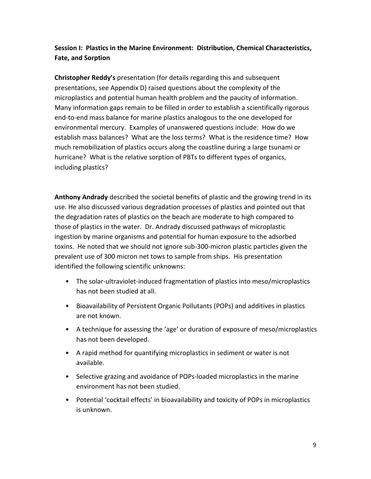### **Session I: Plastics in the Marine Environment: Distribution, Chemical Characteristics, Fate, and Sorption**

**Christopher Reddy's** presentation (for details regarding this and subsequent presentations, see Appendix D) raised questions about the complexity of the microplastics and potential human health problem and the paucity of information. Many information gaps remain to be filled in order to establish a scientifically rigorous end-to-end mass balance for marine plastics analogous to the one developed for environmental mercury. Examples of unanswered questions include: How do we establish mass balances? What are the loss terms? What is the residence time? How much remobilization of plastics occurs along the coastline during a large tsunami or hurricane? What is the relative sorption of PBTs to different types of organics, including plastics?

**Anthony Andrady** described the societal benefits of plastic and the growing trend in its use. He also discussed various degradation processes of plastics and pointed out that the degradation rates of plastics on the beach are moderate to high compared to those of plastics in the water. Dr. Andrady discussed pathways of microplastic ingestion by marine organisms and potential for human exposure to the adsorbed toxins. He noted that we should not ignore sub-300-micron plastic particles given the prevalent use of 300 micron net tows to sample from ships. His presentation identified the following scientific unknowns:

- The solar-ultraviolet-induced fragmentation of plastics into meso/microplastics has not been studied at all.
- Bioavailability of Persistent Organic Pollutants (POPs) and additives in plastics are not known.
- A technique for assessing the 'age' or duration of exposure of meso/microplastics has not been developed.
- A rapid method for quantifying microplastics in sediment or water is not available.
- Selective grazing and avoidance of POPs-loaded microplastics in the marine environment has not been studied.
- Potential 'cocktail effects' in bioavailability and toxicity of POPs in microplastics is unknown.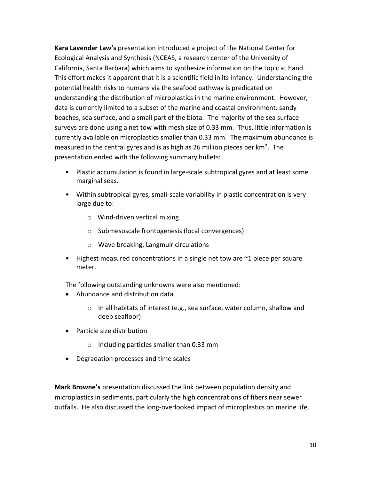**Kara Lavender Law's** presentation introduced a project of the National Center for Ecological Analysis and Synthesis (NCEAS, a research center of the University of California, Santa Barbara) which aims to synthesize information on the topic at hand. This effort makes it apparent that it is a scientific field in its infancy. Understanding the potential health risks to humans via the seafood pathway is predicated on understanding the distribution of microplastics in the marine environment. However, data is currently limited to a subset of the marine and coastal environment: sandy beaches, sea surface, and a small part of the biota. The majority of the sea surface surveys are done using a net tow with mesh size of 0.33 mm. Thus, little information is currently available on microplastics smaller than 0.33 mm. The maximum abundance is measured in the central gyres and is as high as 26 million pieces per  $km^2$ . The presentation ended with the following summary bullets:

- Plastic accumulation is found in large-scale subtropical gyres and at least some marginal seas.
- Within subtropical gyres, small-scale variability in plastic concentration is very large due to:
	- o Wind-driven vertical mixing
	- o Submesoscale frontogenesis (local convergences)
	- o Wave breaking, Langmuir circulations
- Highest measured concentrations in a single net tow are ~1 piece per square meter.

The following outstanding unknowns were also mentioned:

- Abundance and distribution data
	- o In all habitats of interest (e.g., sea surface, water column, shallow and deep seafloor)
- Particle size distribution
	- o Including particles smaller than 0.33 mm
- Degradation processes and time scales

**Mark Browne's** presentation discussed the link between population density and microplastics in sediments, particularly the high concentrations of fibers near sewer outfalls. He also discussed the long-overlooked impact of microplastics on marine life.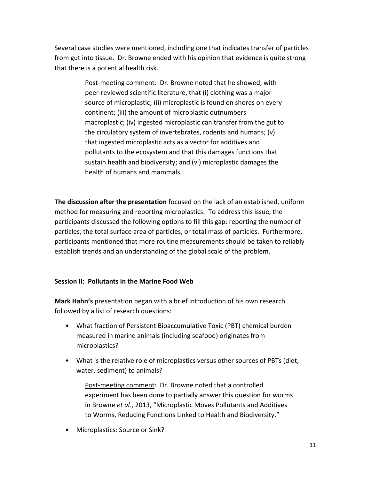Several case studies were mentioned, including one that indicates transfer of particles from gut into tissue. Dr. Browne ended with his opinion that evidence is quite strong that there is a potential health risk.

> Post-meeting comment: Dr. Browne noted that he showed, with peer-reviewed scientific literature, that (i) clothing was a major source of microplastic; (ii) microplastic is found on shores on every continent; (iii) the amount of microplastic outnumbers macroplastic; (iv) ingested microplastic can transfer from the gut to the circulatory system of invertebrates, rodents and humans; (v) that ingested microplastic acts as a vector for additives and pollutants to the ecosystem and that this damages functions that sustain health and biodiversity; and (vi) microplastic damages the health of humans and mammals.

**The discussion after the presentation** focused on the lack of an established, uniform method for measuring and reporting microplastics. To address this issue, the participants discussed the following options to fill this gap: reporting the number of particles, the total surface area of particles, or total mass of particles. Furthermore, participants mentioned that more routine measurements should be taken to reliably establish trends and an understanding of the global scale of the problem.

### **Session II: Pollutants in the Marine Food Web**

**Mark Hahn's** presentation began with a brief introduction of his own research followed by a list of research questions:

- What fraction of Persistent Bioaccumulative Toxic (PBT) chemical burden measured in marine animals (including seafood) originates from microplastics?
- What is the relative role of microplastics versus other sources of PBTs (diet, water, sediment) to animals?

Post-meeting comment: Dr. Browne noted that a controlled experiment has been done to partially answer this question for worms in Browne *et al*., 2013, "Microplastic Moves Pollutants and Additives to Worms, Reducing Functions Linked to Health and Biodiversity."

• Microplastics: Source or Sink?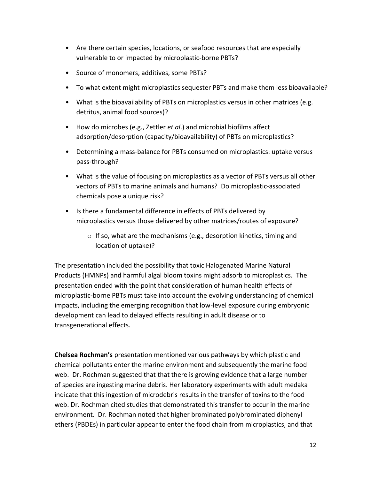- Are there certain species, locations, or seafood resources that are especially vulnerable to or impacted by microplastic-borne PBTs?
- Source of monomers, additives, some PBTs?
- To what extent might microplastics sequester PBTs and make them less bioavailable?
- What is the bioavailability of PBTs on microplastics versus in other matrices (e.g. detritus, animal food sources)?
- How do microbes (e.g., Zettler *et al*.) and microbial biofilms affect adsorption/desorption (capacity/bioavailability) of PBTs on microplastics?
- Determining a mass-balance for PBTs consumed on microplastics: uptake versus pass-through?
- What is the value of focusing on microplastics as a vector of PBTs versus all other vectors of PBTs to marine animals and humans? Do microplastic-associated chemicals pose a unique risk?
- Is there a fundamental difference in effects of PBTs delivered by microplastics versus those delivered by other matrices/routes of exposure?
	- o If so, what are the mechanisms (e.g., desorption kinetics, timing and location of uptake)?

The presentation included the possibility that toxic Halogenated Marine Natural Products (HMNPs) and harmful algal bloom toxins might adsorb to microplastics. The presentation ended with the point that consideration of human health effects of microplastic-borne PBTs must take into account the evolving understanding of chemical impacts, including the emerging recognition that low-level exposure during embryonic development can lead to delayed effects resulting in adult disease or to transgenerational effects.

**Chelsea Rochman's** presentation mentioned various pathways by which plastic and chemical pollutants enter the marine environment and subsequently the marine food web. Dr. Rochman suggested that that there is growing evidence that a large number of species are ingesting marine debris. Her laboratory experiments with adult medaka indicate that this ingestion of microdebris results in the transfer of toxins to the food web. Dr. Rochman cited studies that demonstrated this transfer to occur in the marine environment. Dr. Rochman noted that higher brominated polybrominated diphenyl ethers (PBDEs) in particular appear to enter the food chain from microplastics, and that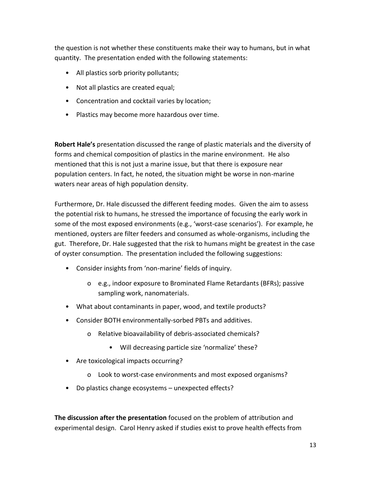the question is not whether these constituents make their way to humans, but in what quantity. The presentation ended with the following statements:

- All plastics sorb priority pollutants;
- Not all plastics are created equal;
- Concentration and cocktail varies by location;
- Plastics may become more hazardous over time.

**Robert Hale's** presentation discussed the range of plastic materials and the diversity of forms and chemical composition of plastics in the marine environment. He also mentioned that this is not just a marine issue, but that there is exposure near population centers. In fact, he noted, the situation might be worse in non-marine waters near areas of high population density.

Furthermore, Dr. Hale discussed the different feeding modes. Given the aim to assess the potential risk to humans, he stressed the importance of focusing the early work in some of the most exposed environments (e.g., 'worst-case scenarios'). For example, he mentioned, oysters are filter feeders and consumed as whole-organisms, including the gut. Therefore, Dr. Hale suggested that the risk to humans might be greatest in the case of oyster consumption. The presentation included the following suggestions:

- Consider insights from 'non-marine' fields of inquiry.
	- o e.g., indoor exposure to Brominated Flame Retardants (BFRs); passive sampling work, nanomaterials.
- What about contaminants in paper, wood, and textile products?
- Consider BOTH environmentally-sorbed PBTs and additives.
	- o Relative bioavailability of debris-associated chemicals?
		- Will decreasing particle size 'normalize' these?
- Are toxicological impacts occurring?
	- o Look to worst-case environments and most exposed organisms?
- Do plastics change ecosystems unexpected effects?

**The discussion after the presentation** focused on the problem of attribution and experimental design. Carol Henry asked if studies exist to prove health effects from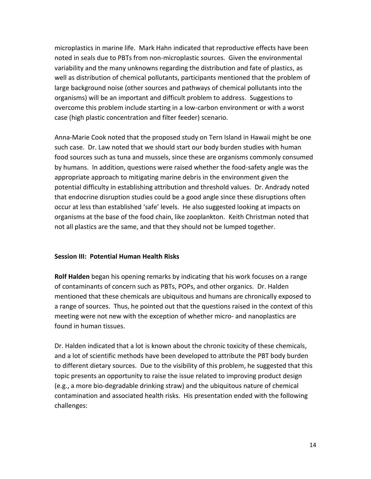microplastics in marine life. Mark Hahn indicated that reproductive effects have been noted in seals due to PBTs from non-microplastic sources. Given the environmental variability and the many unknowns regarding the distribution and fate of plastics, as well as distribution of chemical pollutants, participants mentioned that the problem of large background noise (other sources and pathways of chemical pollutants into the organisms) will be an important and difficult problem to address. Suggestions to overcome this problem include starting in a low-carbon environment or with a worst case (high plastic concentration and filter feeder) scenario.

Anna-Marie Cook noted that the proposed study on Tern Island in Hawaii might be one such case. Dr. Law noted that we should start our body burden studies with human food sources such as tuna and mussels, since these are organisms commonly consumed by humans. In addition, questions were raised whether the food-safety angle was the appropriate approach to mitigating marine debris in the environment given the potential difficulty in establishing attribution and threshold values. Dr. Andrady noted that endocrine disruption studies could be a good angle since these disruptions often occur at less than established 'safe' levels. He also suggested looking at impacts on organisms at the base of the food chain, like zooplankton. Keith Christman noted that not all plastics are the same, and that they should not be lumped together.

#### **Session III: Potential Human Health Risks**

**Rolf Halden** began his opening remarks by indicating that his work focuses on a range of contaminants of concern such as PBTs, POPs, and other organics. Dr. Halden mentioned that these chemicals are ubiquitous and humans are chronically exposed to a range of sources. Thus, he pointed out that the questions raised in the context of this meeting were not new with the exception of whether micro- and nanoplastics are found in human tissues.

Dr. Halden indicated that a lot is known about the chronic toxicity of these chemicals, and a lot of scientific methods have been developed to attribute the PBT body burden to different dietary sources. Due to the visibility of this problem, he suggested that this topic presents an opportunity to raise the issue related to improving product design (e.g., a more bio-degradable drinking straw) and the ubiquitous nature of chemical contamination and associated health risks. His presentation ended with the following challenges: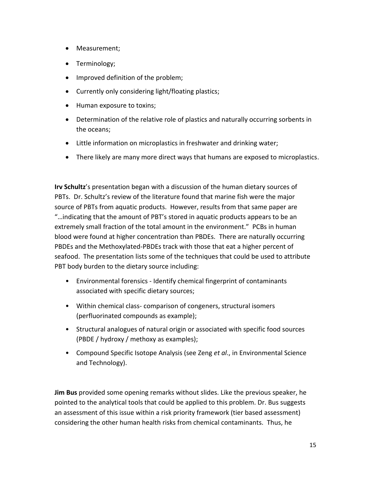- Measurement;
- Terminology;
- Improved definition of the problem;
- Currently only considering light/floating plastics;
- Human exposure to toxins;
- Determination of the relative role of plastics and naturally occurring sorbents in the oceans;
- Little information on microplastics in freshwater and drinking water;
- There likely are many more direct ways that humans are exposed to microplastics.

**Irv Schultz**'s presentation began with a discussion of the human dietary sources of PBTs. Dr. Schultz's review of the literature found that marine fish were the major source of PBTs from aquatic products. However, results from that same paper are "…indicating that the amount of PBT's stored in aquatic products appears to be an extremely small fraction of the total amount in the environment." PCBs in human blood were found at higher concentration than PBDEs. There are naturally occurring PBDEs and the Methoxylated-PBDEs track with those that eat a higher percent of seafood. The presentation lists some of the techniques that could be used to attribute PBT body burden to the dietary source including:

- Environmental forensics Identify chemical fingerprint of contaminants associated with specific dietary sources;
- Within chemical class- comparison of congeners, structural isomers (perfluorinated compounds as example);
- Structural analogues of natural origin or associated with specific food sources (PBDE / hydroxy / methoxy as examples);
- Compound Specific Isotope Analysis (see Zeng *et al*., in Environmental Science and Technology).

**Jim Bus** provided some opening remarks without slides. Like the previous speaker, he pointed to the analytical tools that could be applied to this problem. Dr. Bus suggests an assessment of this issue within a risk priority framework (tier based assessment) considering the other human health risks from chemical contaminants. Thus, he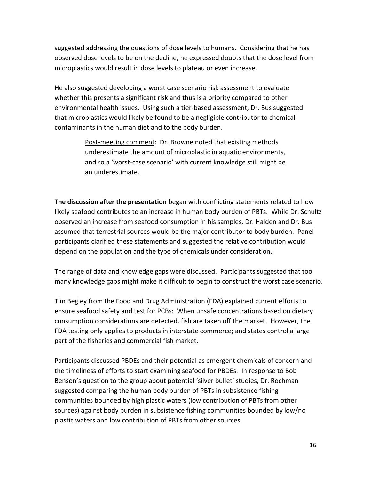suggested addressing the questions of dose levels to humans. Considering that he has observed dose levels to be on the decline, he expressed doubts that the dose level from microplastics would result in dose levels to plateau or even increase.

He also suggested developing a worst case scenario risk assessment to evaluate whether this presents a significant risk and thus is a priority compared to other environmental health issues. Using such a tier-based assessment, Dr. Bus suggested that microplastics would likely be found to be a negligible contributor to chemical contaminants in the human diet and to the body burden.

> Post-meeting comment: Dr. Browne noted that existing methods underestimate the amount of microplastic in aquatic environments, and so a 'worst-case scenario' with current knowledge still might be an underestimate.

**The discussion after the presentation** began with conflicting statements related to how likely seafood contributes to an increase in human body burden of PBTs. While Dr. Schultz observed an increase from seafood consumption in his samples, Dr. Halden and Dr. Bus assumed that terrestrial sources would be the major contributor to body burden. Panel participants clarified these statements and suggested the relative contribution would depend on the population and the type of chemicals under consideration.

The range of data and knowledge gaps were discussed. Participants suggested that too many knowledge gaps might make it difficult to begin to construct the worst case scenario.

Tim Begley from the Food and Drug Administration (FDA) explained current efforts to ensure seafood safety and test for PCBs: When unsafe concentrations based on dietary consumption considerations are detected, fish are taken off the market. However, the FDA testing only applies to products in interstate commerce; and states control a large part of the fisheries and commercial fish market.

Participants discussed PBDEs and their potential as emergent chemicals of concern and the timeliness of efforts to start examining seafood for PBDEs. In response to Bob Benson's question to the group about potential 'silver bullet' studies, Dr. Rochman suggested comparing the human body burden of PBTs in subsistence fishing communities bounded by high plastic waters (low contribution of PBTs from other sources) against body burden in subsistence fishing communities bounded by low/no plastic waters and low contribution of PBTs from other sources.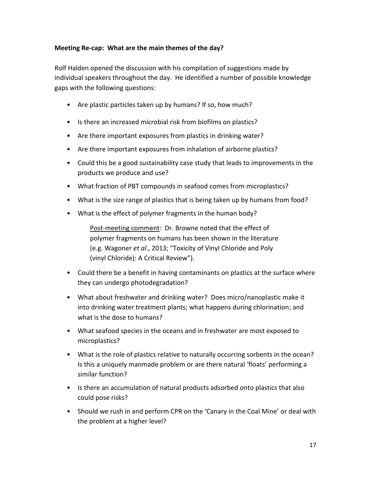#### **Meeting Re-cap: What are the main themes of the day?**

Rolf Halden opened the discussion with his compilation of suggestions made by individual speakers throughout the day. He identified a number of possible knowledge gaps with the following questions:

- Are plastic particles taken up by humans? If so, how much?
- Is there an increased microbial risk from biofilms on plastics?
- Are there important exposures from plastics in drinking water?
- Are there important exposures from inhalation of airborne plastics?
- Could this be a good sustainability case study that leads to improvements in the products we produce and use?
- What fraction of PBT compounds in seafood comes from microplastics?
- What is the size range of plastics that is being taken up by humans from food?
- What is the effect of polymer fragments in the human body?

Post-meeting comment: Dr. Browne noted that the effect of polymer fragments on humans has been shown in the literature (e.g. Wagoner *et al*., 2013; "Toxicity of Vinyl Chloride and Poly (vinyl Chloride): A Critical Review").

- Could there be a benefit in having contaminants on plastics at the surface where they can undergo photodegradation?
- What about freshwater and drinking water? Does micro/nanoplastic make it into drinking water treatment plants; what happens during chlorination; and what is the dose to humans?
- What seafood species in the oceans and in freshwater are most exposed to microplastics?
- What is the role of plastics relative to naturally occurring sorbents in the ocean? Is this a uniquely manmade problem or are there natural 'floats' performing a similar function?
- Is there an accumulation of natural products adsorbed onto plastics that also could pose risks?
- Should we rush in and perform CPR on the 'Canary in the Coal Mine' or deal with the problem at a higher level?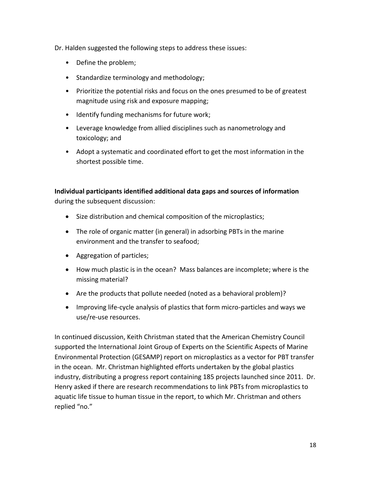Dr. Halden suggested the following steps to address these issues:

- Define the problem;
- Standardize terminology and methodology;
- Prioritize the potential risks and focus on the ones presumed to be of greatest magnitude using risk and exposure mapping;
- Identify funding mechanisms for future work;
- Leverage knowledge from allied disciplines such as nanometrology and toxicology; and
- Adopt a systematic and coordinated effort to get the most information in the shortest possible time.

**Individual participants identified additional data gaps and sources of information** during the subsequent discussion:

- Size distribution and chemical composition of the microplastics;
- The role of organic matter (in general) in adsorbing PBTs in the marine environment and the transfer to seafood;
- Aggregation of particles;
- How much plastic is in the ocean? Mass balances are incomplete; where is the missing material?
- Are the products that pollute needed (noted as a behavioral problem)?
- Improving life-cycle analysis of plastics that form micro-particles and ways we use/re-use resources.

In continued discussion, Keith Christman stated that the American Chemistry Council supported the International Joint Group of Experts on the Scientific Aspects of Marine Environmental Protection (GESAMP) report on microplastics as a vector for PBT transfer in the ocean. Mr. Christman highlighted efforts undertaken by the global plastics industry, distributing a progress report containing 185 projects launched since 2011. Dr. Henry asked if there are research recommendations to link PBTs from microplastics to aquatic life tissue to human tissue in the report, to which Mr. Christman and others replied "no."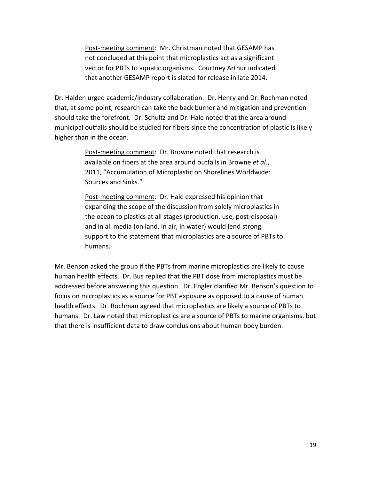Post-meeting comment: Mr. Christman noted that GESAMP has not concluded at this point that microplastics act as a significant vector for PBTs to aquatic organisms. Courtney Arthur indicated that another GESAMP report is slated for release in late 2014.

Dr. Halden urged academic/industry collaboration. Dr. Henry and Dr. Rochman noted that, at some point, research can take the back burner and mitigation and prevention should take the forefront. Dr. Schultz and Dr. Hale noted that the area around municipal outfalls should be studied for fibers since the concentration of plastic is likely higher than in the ocean.

> Post-meeting comment: Dr. Browne noted that research is available on fibers at the area around outfalls in Browne *et al.*, 2011, "Accumulation of Microplastic on Shorelines Worldwide: Sources and Sinks."

Post-meeting comment: Dr. Hale expressed his opinion that expanding the scope of the discussion from solely microplastics in the ocean to plastics at all stages (production, use, post-disposal) and in all media (on land, in air, in water) would lend strong support to the statement that microplastics are a source of PBTs to humans.

Mr. Benson asked the group if the PBTs from marine microplastics are likely to cause human health effects. Dr. Bus replied that the PBT dose from microplastics must be addressed before answering this question. Dr. Engler clarified Mr. Benson's question to focus on microplastics as a source for PBT exposure as opposed to a cause of human health effects. Dr. Rochman agreed that microplastics are likely a source of PBTs to humans. Dr. Law noted that microplastics are a source of PBTs to marine organisms, but that there is insufficient data to draw conclusions about human body burden.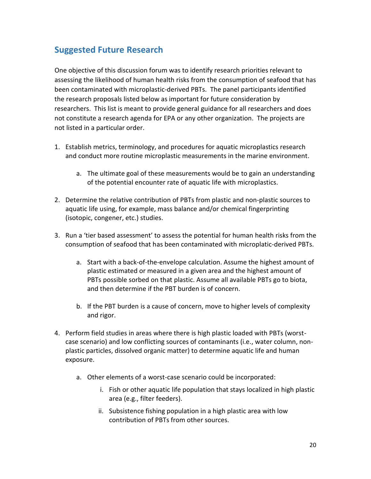# <span id="page-19-0"></span>**Suggested Future Research**

One objective of this discussion forum was to identify research priorities relevant to assessing the likelihood of human health risks from the consumption of seafood that has been contaminated with microplastic-derived PBTs. The panel participants identified the research proposals listed below as important for future consideration by researchers. This list is meant to provide general guidance for all researchers and does not constitute a research agenda for EPA or any other organization. The projects are not listed in a particular order.

- 1. Establish metrics, terminology, and procedures for aquatic microplastics research and conduct more routine microplastic measurements in the marine environment.
	- a. The ultimate goal of these measurements would be to gain an understanding of the potential encounter rate of aquatic life with microplastics.
- 2. Determine the relative contribution of PBTs from plastic and non-plastic sources to aquatic life using, for example, mass balance and/or chemical fingerprinting (isotopic, congener, etc.) studies.
- 3. Run a 'tier based assessment' to assess the potential for human health risks from the consumption of seafood that has been contaminated with microplatic-derived PBTs.
	- a. Start with a back-of-the-envelope calculation. Assume the highest amount of plastic estimated or measured in a given area and the highest amount of PBTs possible sorbed on that plastic. Assume all available PBTs go to biota, and then determine if the PBT burden is of concern.
	- b. If the PBT burden is a cause of concern, move to higher levels of complexity and rigor.
- 4. Perform field studies in areas where there is high plastic loaded with PBTs (worstcase scenario) and low conflicting sources of contaminants (i.e., water column, nonplastic particles, dissolved organic matter) to determine aquatic life and human exposure.
	- a. Other elements of a worst-case scenario could be incorporated:
		- i. Fish or other aquatic life population that stays localized in high plastic area (e.g., filter feeders).
		- ii. Subsistence fishing population in a high plastic area with low contribution of PBTs from other sources.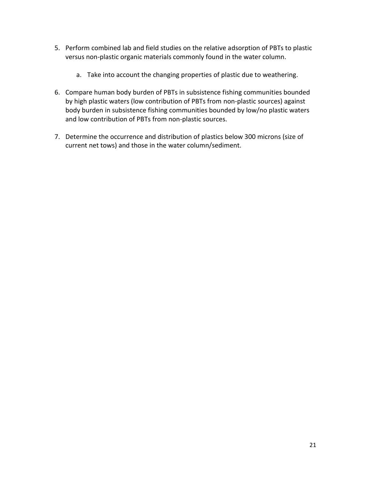- 5. Perform combined lab and field studies on the relative adsorption of PBTs to plastic versus non-plastic organic materials commonly found in the water column.
	- a. Take into account the changing properties of plastic due to weathering.
- 6. Compare human body burden of PBTs in subsistence fishing communities bounded by high plastic waters (low contribution of PBTs from non-plastic sources) against body burden in subsistence fishing communities bounded by low/no plastic waters and low contribution of PBTs from non-plastic sources.
- 7. Determine the occurrence and distribution of plastics below 300 microns (size of current net tows) and those in the water column/sediment.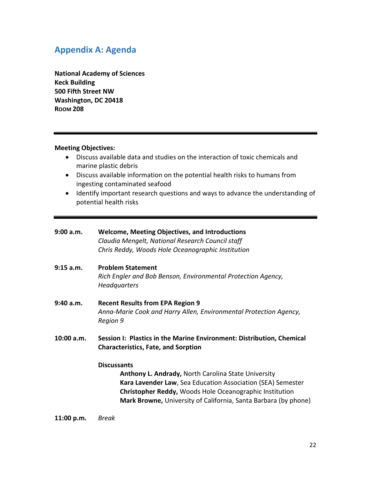## <span id="page-21-0"></span>**Appendix A: Agenda**

**National Academy of Sciences Keck Building 500 Fifth Street NW Washington, DC 20418 ROOM 208**

#### **Meeting Objectives:**

- Discuss available data and studies on the interaction of toxic chemicals and marine plastic debris
- Discuss available information on the potential health risks to humans from ingesting contaminated seafood
- Identify important research questions and ways to advance the understanding of potential health risks

| 9:00 a.m.    | <b>Welcome, Meeting Objectives, and Introductions</b><br>Claudia Mengelt, National Research Council staff<br>Chris Reddy, Woods Hole Oceanographic Institution                                                                                                                 |
|--------------|--------------------------------------------------------------------------------------------------------------------------------------------------------------------------------------------------------------------------------------------------------------------------------|
| $9:15$ a.m.  | <b>Problem Statement</b><br>Rich Engler and Bob Benson, Environmental Protection Agency,<br>Headquarters                                                                                                                                                                       |
| 9:40 a.m.    | <b>Recent Results from EPA Region 9</b><br>Anna-Marie Cook and Harry Allen, Environmental Protection Agency,<br>Region 9                                                                                                                                                       |
| $10:00$ a.m. | Session I: Plastics in the Marine Environment: Distribution, Chemical<br><b>Characteristics, Fate, and Sorption</b>                                                                                                                                                            |
|              | <b>Discussants</b><br>Anthony L. Andrady, North Carolina State University<br><b>Kara Lavender Law</b> , Sea Education Association (SEA) Semester<br>Christopher Reddy, Woods Hole Oceanographic Institution<br>Mark Browne, University of California, Santa Barbara (by phone) |

**11:00 p.m.** *Break*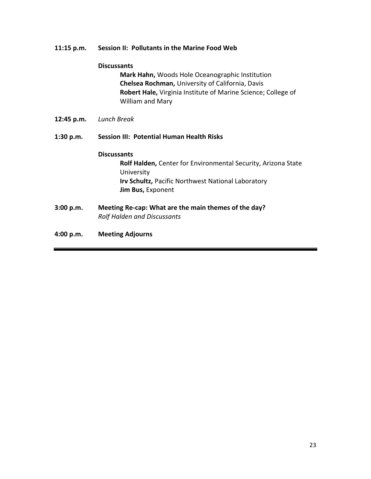#### **11:15 p.m. Session II: Pollutants in the Marine Food Web**

#### **Discussants**

**Mark Hahn,** Woods Hole Oceanographic Institution **Chelsea Rochman,** University of California, Davis **Robert Hale,** Virginia Institute of Marine Science; College of William and Mary

**12:45 p.m.** *Lunch Break*

#### **1:30 p.m. Session III: Potential Human Health Risks**

#### **Discussants**

**Rolf Halden,** Center for Environmental Security, Arizona State University **Irv Schultz,** Pacific Northwest National Laboratory **Jim Bus,** Exponent

- **3:00 p.m. Meeting Re-cap: What are the main themes of the day?**  *Rolf Halden and Discussants*
- **4:00 p.m. Meeting Adjourns**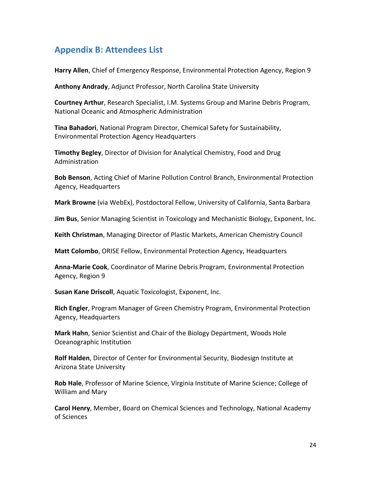## <span id="page-23-0"></span>**Appendix B: Attendees List**

**Harry Allen**, Chief of Emergency Response, Environmental Protection Agency, Region 9

**Anthony Andrady**, Adjunct Professor, North Carolina State University

**Courtney Arthur**, Research Specialist, I.M. Systems Group and Marine Debris Program, National Oceanic and Atmospheric Administration

**Tina Bahadori**, National Program Director, Chemical Safety for Sustainability, Environmental Protection Agency Headquarters

**Timothy Begley**, Director of Division for Analytical Chemistry, Food and Drug Administration

**Bob Benson**, Acting Chief of Marine Pollution Control Branch, Environmental Protection Agency, Headquarters

**Mark Browne** (via WebEx), Postdoctoral Fellow, University of California, Santa Barbara

**Jim Bus**, Senior Managing Scientist in Toxicology and Mechanistic Biology, Exponent, Inc.

**Keith Christman**, Managing Director of Plastic Markets, American Chemistry Council

**Matt Colombo**, ORISE Fellow, Environmental Protection Agency, Headquarters

**Anna-Marie Cook**, Coordinator of Marine Debris Program, Environmental Protection Agency, Region 9

**Susan Kane Driscoll**, Aquatic Toxicologist, Exponent, Inc.

**Rich Engler**, Program Manager of Green Chemistry Program, Environmental Protection Agency, Headquarters

**Mark Hahn**, Senior Scientist and Chair of the Biology Department, Woods Hole Oceanographic Institution

**Rolf Halden**, Director of Center for Environmental Security, Biodesign Institute at Arizona State University

**Rob Hale**, Professor of Marine Science, Virginia Institute of Marine Science; College of William and Mary

**Carol Henry**, Member, Board on Chemical Sciences and Technology, National Academy of Sciences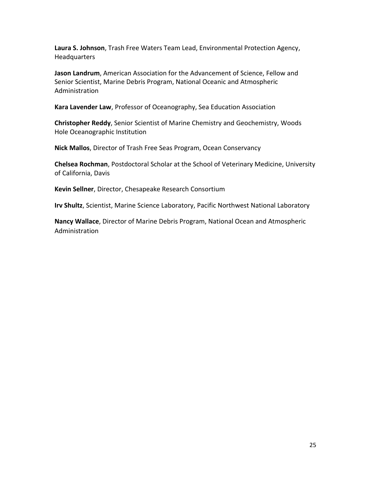**Laura S. Johnson**, Trash Free Waters Team Lead, Environmental Protection Agency, **Headquarters** 

**Jason Landrum**, American Association for the Advancement of Science, Fellow and Senior Scientist, Marine Debris Program, National Oceanic and Atmospheric Administration

**Kara Lavender Law**, Professor of Oceanography, Sea Education Association

**Christopher Reddy**, Senior Scientist of Marine Chemistry and Geochemistry, Woods Hole Oceanographic Institution

**Nick Mallos**, Director of Trash Free Seas Program, Ocean Conservancy

**Chelsea Rochman**, Postdoctoral Scholar at the School of Veterinary Medicine, University of California, Davis

**Kevin Sellner**, Director, Chesapeake Research Consortium

**Irv Shultz**, Scientist, Marine Science Laboratory, Pacific Northwest National Laboratory

**Nancy Wallace**, Director of Marine Debris Program, National Ocean and Atmospheric Administration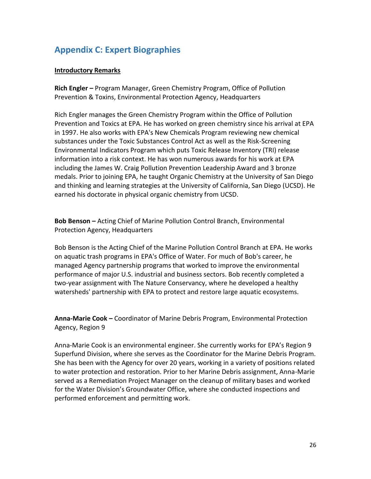# <span id="page-25-0"></span>**Appendix C: Expert Biographies**

#### **Introductory Remarks**

**Rich Engler –** Program Manager, Green Chemistry Program, Office of Pollution Prevention & Toxins, Environmental Protection Agency, Headquarters

Rich Engler manages the Green Chemistry Program within the Office of Pollution Prevention and Toxics at EPA. He has worked on green chemistry since his arrival at EPA in 1997. He also works with EPA's New Chemicals Program reviewing new chemical substances under the Toxic Substances Control Act as well as the Risk-Screening Environmental Indicators Program which puts Toxic Release Inventory (TRI) release information into a risk context. He has won numerous awards for his work at EPA including the James W. Craig Pollution Prevention Leadership Award and 3 bronze medals. Prior to joining EPA, he taught Organic Chemistry at the University of San Diego and thinking and learning strategies at the University of California, San Diego (UCSD). He earned his doctorate in physical organic chemistry from UCSD.

**Bob Benson –** Acting Chief of Marine Pollution Control Branch, Environmental Protection Agency, Headquarters

Bob Benson is the Acting Chief of the Marine Pollution Control Branch at EPA. He works on aquatic trash programs in EPA's Office of Water. For much of Bob's career, he managed Agency partnership programs that worked to improve the environmental performance of major U.S. industrial and business sectors. Bob recently completed a two-year assignment with The Nature Conservancy, where he developed a healthy watersheds' partnership with EPA to protect and restore large aquatic ecosystems.

**Anna-Marie Cook –** Coordinator of Marine Debris Program, Environmental Protection Agency, Region 9

Anna-Marie Cook is an environmental engineer. She currently works for EPA's Region 9 Superfund Division, where she serves as the Coordinator for the Marine Debris Program. She has been with the Agency for over 20 years, working in a variety of positions related to water protection and restoration. Prior to her Marine Debris assignment, Anna-Marie served as a Remediation Project Manager on the cleanup of military bases and worked for the Water Division's Groundwater Office, where she conducted inspections and performed enforcement and permitting work.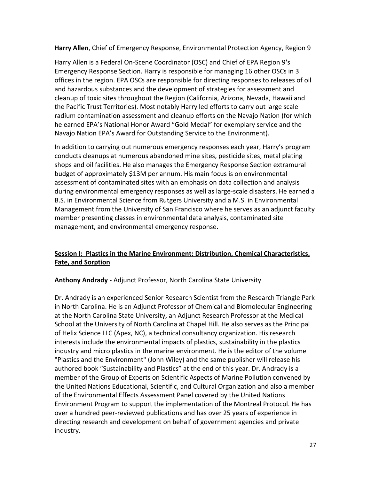**Harry Allen**, Chief of Emergency Response, Environmental Protection Agency, Region 9

Harry Allen is a Federal On-Scene Coordinator (OSC) and Chief of EPA Region 9's Emergency Response Section. Harry is responsible for managing 16 other OSCs in 3 offices in the region. EPA OSCs are responsible for directing responses to releases of oil and hazardous substances and the development of strategies for assessment and cleanup of toxic sites throughout the Region (California, Arizona, Nevada, Hawaii and the Pacific Trust Territories). Most notably Harry led efforts to carry out large scale radium contamination assessment and cleanup efforts on the Navajo Nation (for which he earned EPA's National Honor Award "Gold Medal" for exemplary service and the Navajo Nation EPA's Award for Outstanding Service to the Environment).

In addition to carrying out numerous emergency responses each year, Harry's program conducts cleanups at numerous abandoned mine sites, pesticide sites, metal plating shops and oil facilities. He also manages the Emergency Response Section extramural budget of approximately \$13M per annum. His main focus is on environmental assessment of contaminated sites with an emphasis on data collection and analysis during environmental emergency responses as well as large-scale disasters. He earned a B.S. in Environmental Science from Rutgers University and a M.S. in Environmental Management from the University of San Francisco where he serves as an adjunct faculty member presenting classes in environmental data analysis, contaminated site management, and environmental emergency response.

### **Session I: Plastics in the Marine Environment: Distribution, Chemical Characteristics, Fate, and Sorption**

**Anthony Andrady** - Adjunct Professor, North Carolina State University

Dr. Andrady is an experienced Senior Research Scientist from the Research Triangle Park in North Carolina. He is an Adjunct Professor of Chemical and Biomolecular Engineering at the North Carolina State University, an Adjunct Research Professor at the Medical School at the University of North Carolina at Chapel Hill. He also serves as the Principal of Helix Science LLC (Apex, NC), a technical consultancy organization. His research interests include the environmental impacts of plastics, sustainability in the plastics industry and micro plastics in the marine environment. He is the editor of the volume "Plastics and the Environment" (John Wiley) and the same publisher will release his authored book "Sustainability and Plastics" at the end of this year. Dr. Andrady is a member of the Group of Experts on Scientific Aspects of Marine Pollution convened by the United Nations Educational, Scientific, and Cultural Organization and also a member of the Environmental Effects Assessment Panel covered by the United Nations Environment Program to support the implementation of the Montreal Protocol. He has over a hundred peer-reviewed publications and has over 25 years of experience in directing research and development on behalf of government agencies and private industry.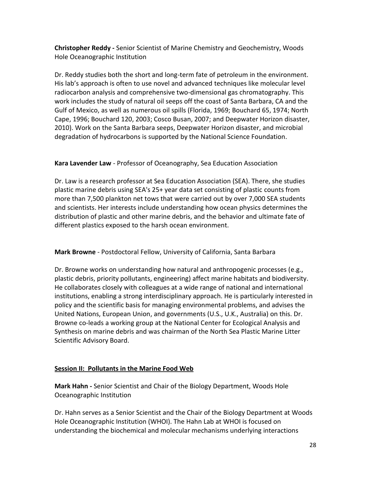**Christopher Reddy -** Senior Scientist of Marine Chemistry and Geochemistry, Woods Hole Oceanographic Institution

Dr. Reddy studies both the short and long-term fate of petroleum in the environment. His lab's approach is often to use novel and advanced techniques like molecular level radiocarbon analysis and comprehensive two-dimensional gas chromatography. This work includes the study of natural oil seeps off the coast of Santa Barbara, CA and the Gulf of Mexico, as well as numerous oil spills (Florida, 1969; Bouchard 65, 1974; North Cape, 1996; Bouchard 120, 2003; Cosco Busan, 2007; and Deepwater Horizon disaster, 2010). Work on the Santa Barbara seeps, Deepwater Horizon disaster, and microbial degradation of hydrocarbons is supported by the National Science Foundation.

### **Kara Lavender Law** - Professor of Oceanography, Sea Education Association

Dr. Law is a research professor at Sea Education Association (SEA). There, she studies plastic marine debris using SEA's 25+ year data set consisting of plastic counts from more than 7,500 plankton net tows that were carried out by over 7,000 SEA students and scientists. Her interests include understanding how ocean physics determines the distribution of plastic and other marine debris, and the behavior and ultimate fate of different plastics exposed to the harsh ocean environment.

### **Mark Browne** - Postdoctoral Fellow, University of California, Santa Barbara

Dr. Browne works on understanding how natural and anthropogenic processes (e.g., plastic debris, priority pollutants, engineering) affect marine habitats and biodiversity. He collaborates closely with colleagues at a wide range of national and international institutions, enabling a strong interdisciplinary approach. He is particularly interested in policy and the scientific basis for managing environmental problems, and advises the United Nations, European Union, and governments (U.S., U.K., Australia) on this. Dr. Browne co-leads a working group at the National Center for Ecological Analysis and Synthesis on marine debris and was chairman of the North Sea Plastic Marine Litter Scientific Advisory Board.

### **Session II: Pollutants in the Marine Food Web**

**Mark Hahn -** Senior Scientist and Chair of the Biology Department, Woods Hole Oceanographic Institution

Dr. Hahn serves as a Senior Scientist and the Chair of the Biology Department at Woods Hole Oceanographic Institution (WHOI). The Hahn Lab at WHOI is focused on understanding the biochemical and molecular mechanisms underlying interactions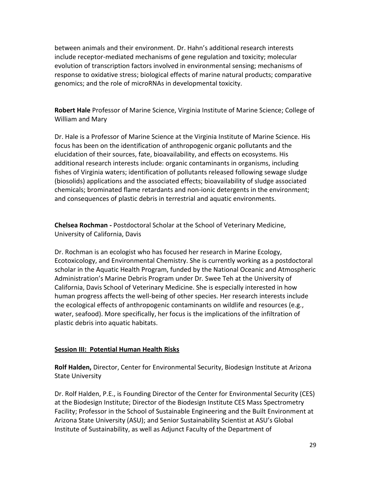between animals and their environment. Dr. Hahn's additional research interests include receptor-mediated mechanisms of gene regulation and toxicity; molecular evolution of transcription factors involved in environmental sensing; mechanisms of response to oxidative stress; biological effects of marine natural products; comparative genomics; and the role of microRNAs in developmental toxicity.

**Robert Hale** Professor of Marine Science, Virginia Institute of Marine Science; College of William and Mary

Dr. Hale is a Professor of Marine Science at the Virginia Institute of Marine Science. His focus has been on the identification of anthropogenic organic pollutants and the elucidation of their sources, fate, bioavailability, and effects on ecosystems. His additional research interests include: organic contaminants in organisms, including fishes of Virginia waters; identification of pollutants released following sewage sludge (biosolids) applications and the associated effects; bioavailability of sludge associated chemicals; brominated flame retardants and non-ionic detergents in the environment; and consequences of plastic debris in terrestrial and aquatic environments.

**Chelsea Rochman -** Postdoctoral Scholar at the School of Veterinary Medicine, University of California, Davis

Dr. Rochman is an ecologist who has focused her research in Marine Ecology, Ecotoxicology, and Environmental Chemistry. She is currently working as a postdoctoral scholar in the Aquatic Health Program, funded by the National Oceanic and Atmospheric Administration's Marine Debris Program under Dr. Swee Teh at the University of California, Davis School of Veterinary Medicine. She is especially interested in how human progress affects the well-being of other species. Her research interests include the ecological effects of anthropogenic contaminants on wildlife and resources (e.g., water, seafood). More specifically, her focus is the implications of the infiltration of plastic debris into aquatic habitats.

### **Session III: Potential Human Health Risks**

**Rolf Halden,** Director, Center for Environmental Security, Biodesign Institute at Arizona State University

Dr. Rolf Halden, P.E., is Founding Director of the Center for Environmental Security (CES) at the Biodesign Institute; Director of the Biodesign Institute CES Mass Spectrometry Facility; Professor in the School of Sustainable Engineering and the Built Environment at Arizona State University (ASU); and Senior Sustainability Scientist at ASU's Global Institute of Sustainability, as well as Adjunct Faculty of the Department of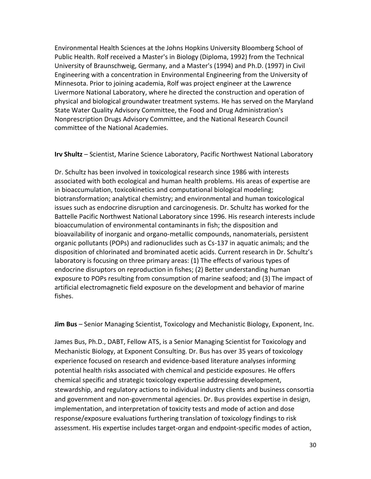Environmental Health Sciences at the Johns Hopkins University Bloomberg School of Public Health. Rolf received a Master's in Biology (Diploma, 1992) from the Technical University of Braunschweig, Germany, and a Master's (1994) and Ph.D. (1997) in Civil Engineering with a concentration in Environmental Engineering from the University of Minnesota. Prior to joining academia, Rolf was project engineer at the Lawrence Livermore National Laboratory, where he directed the construction and operation of physical and biological groundwater treatment systems. He has served on the Maryland State Water Quality Advisory Committee, the Food and Drug Administration's Nonprescription Drugs Advisory Committee, and the National Research Council committee of the National Academies.

**Irv Shultz** – Scientist, Marine Science Laboratory, Pacific Northwest National Laboratory

Dr. Schultz has been involved in toxicological research since 1986 with interests associated with both ecological and human health problems. His areas of expertise are in bioaccumulation, toxicokinetics and computational biological modeling; biotransformation; analytical chemistry; and environmental and human toxicological issues such as endocrine disruption and carcinogenesis. Dr. Schultz has worked for the Battelle Pacific Northwest National Laboratory since 1996. His research interests include bioaccumulation of environmental contaminants in fish; the disposition and bioavailability of inorganic and organo-metallic compounds, nanomaterials, persistent organic pollutants (POPs) and radionuclides such as Cs-137 in aquatic animals; and the disposition of chlorinated and brominated acetic acids. Current research in Dr. Schultz's laboratory is focusing on three primary areas: (1) The effects of various types of endocrine disruptors on reproduction in fishes; (2) Better understanding human exposure to POPs resulting from consumption of marine seafood; and (3) The impact of artificial electromagnetic field exposure on the development and behavior of marine fishes.

**Jim Bus** – Senior Managing Scientist, Toxicology and Mechanistic Biology, Exponent, Inc.

James Bus, Ph.D., DABT, Fellow ATS, is a Senior Managing Scientist for Toxicology and Mechanistic Biology, at Exponent Consulting. Dr. Bus has over 35 years of toxicology experience focused on research and evidence-based literature analyses informing potential health risks associated with chemical and pesticide exposures. He offers chemical specific and strategic toxicology expertise addressing development, stewardship, and regulatory actions to individual industry clients and business consortia and government and non-governmental agencies. Dr. Bus provides expertise in design, implementation, and interpretation of toxicity tests and mode of action and dose response/exposure evaluations furthering translation of toxicology findings to risk assessment. His expertise includes target-organ and endpoint-specific modes of action,